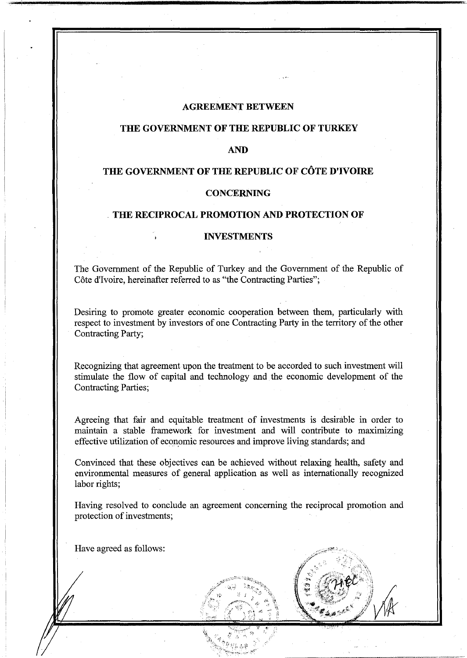#### **AGREEMENT BETWEEN**

#### **THE GOVERNMENT OF THE REPUBLIC OF TURKEY**

#### **AND**

## **THE GOVERNMENT OF THE REPUBLIC OF COTE D'IVOIRE**

## **CONCERNING**

#### . **THE RECIPROCAL PROMOTION AND PROTECTION OF**

### **INVESTMENTS**

The Government of the Republic of Turkey and the Government of the Republic of Côte d'Ivoire, hereinafter referred to as "the Contracting Parties";

Desiring to promote greater economic cooperation between them, particularly with respect to investment by investors of one Contracting Party in the territory of the other Contracting Party;

Recognizing that agreement upon the treatment to be accorded to such investment will stimulate the flow of capital and technology and the economic development of the Contracting Parties;

Agreeing that fair and equitable treatment of investments is desirable in order to maintain a stable framework for investment and will contribute to maximizing effective utilization of economic resources and improve living standards; and

Convinced that these objectives can be achieved without relaxing health, safety and environmental measures of general application as well as internationally recognized labor rights;

Having resolved to conclude an agreement concerning the reciprocal promotion and protection of investments;

Have agreed as follows: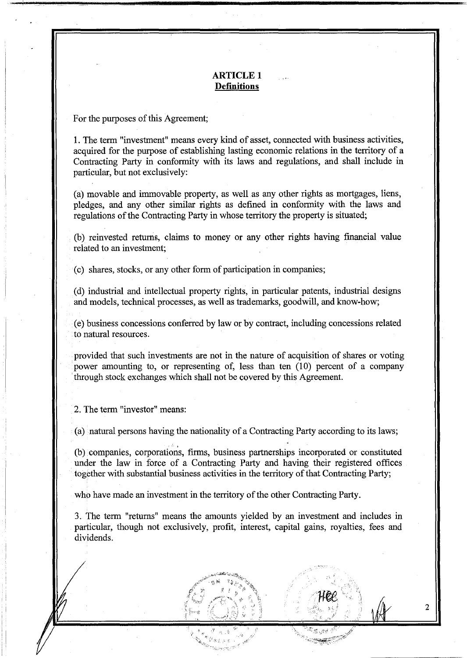# **ARTICLE 1 Definitions**

For the purposes of this Agreement;

1. The term "investment" means every kind of asset, connected with business activities, acquired for the purpose of establishing lasting economic relations in the territory of a Contracting Party in conformity with its laws and regulations, and shall include in particular, but not exclusively:

(a) movable and immovable property, as well as any other rights as mortgages, liens, pledges, and any other similar rights as defined in conformity with the laws and regulations of the Contracting Party in whose territory the property is situated;

(b) reinvested returns, claims to money or any other rights having financial value related to an investment;

(c) shares, stocks, or any other form of participation in companies;

(d) industrial and intellectual property rights, in particular patents, industrial designs and models, technical processes, as well as trademarks, goodwill, and know-how;

(e) business concessions conferred by law or by contract, including concessions related to natural resources.

provided that such investments are not in the nature of acquisition of shares or voting power amounting to, or representing of, less than ten  $(10)$  percent of a company · through stock exchanges which shall not be covered by this Agreement.

2. The term "investor" means:

 $\blacksquare$ 

(a) natural persons having the nationality of a Contracting Party according to its laws;

.. (b) companies, corporations, firms, business partnerships incorporated or constituted under the law in force of a Contracting Party and having their registered offices together with substantial business activities in the territory of that Contracting Party;

who have made an investment in the territory of the other Contracting Party.

3. The term "returns" means the amounts yielded by an investment and includes in particular, though not exclusively, profit, interest, capital gains, royalties, fees and dividends.

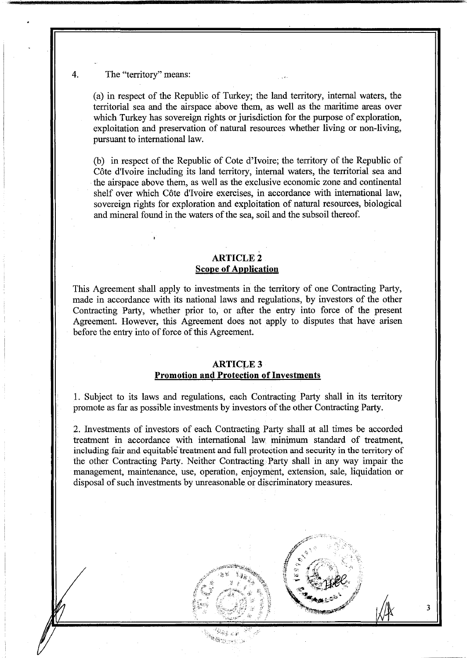### 4. The "territory" means:

(a) in respect of the Republic of Turkey; the land territory, internal waters, the territorial sea and the airspace above them, as well as the maritime areas over which Turkey has sovereign rights or jurisdiction for the purpose of exploration, exploitation and preservation of natural resources whether living or non-living, pursuant to international law.

(b) in respect of the Republic of Cote d'Ivoire; the territory of the Republic of Côte d'Ivoire including its land territory, internal waters, the territorial sea and the airspace above them, as well as the exclusive economic zone and continental shelf over which Cote d'Ivoire exercises, in accordance with international law, sovereign rights for exploration and exploitation of natural resources, biological and mineral found in the waters of the sea, soil and the subsoil thereof.

### **ARTICLE2 Scope of Application**

This Agreement shall apply to investments in the territory of one Contracting Party, made in accordance with its national laws and regulations, by investors of the other Contracting Party, whether prior to, or after the entry into force of the present Agreement. However, this Agreement does not apply to disputes that have arisen before the entry into of force of this Agreement.

#### **ARTICLE 3**

### **Promotion and Protection of Investments**

I. Subject to its laws and regulations, each Contracting Party shall in its territory promote as far as possible investments by investors of the other Contracting Party.

2. Investments of investors of each Contracting Party shall at all times be accorded treatment in accordance with international law minimum standard of treatment, including fair and equitable treatment and full protection and security in the territory of the other Contracting Party. Neither Contracting Party shall in any way impair the management, maintenance, use, operation, enjoyment, extension, sale, liquidation or disposal of such investments by unreasonable or discriminatory measures.

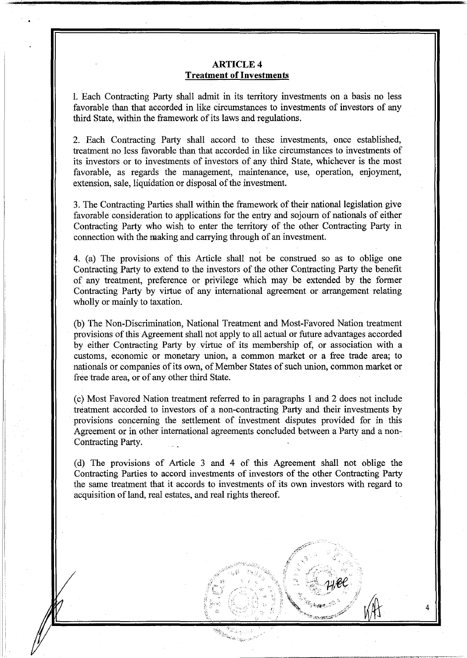## **ARTICLE4 Treatment of Investments**

1. Each Contracting Party shall admit in its territory investments on a basis no less favorable than that accorded in like circumstances to investments of investors of any third State, within the framework of its laws and regulations.

2. Each Contracting Party shall accord to these investments, once established, treatment no less favorable than that accorded in like circumstances to investments of its investors or to investments of investors of any third State, whichever is the most favorable, as regards the management, maintenance, use, operation, enjoyment, extension, sale, liquidation or disposal of the investment.

3. The Contracting Parties shall within the framework of their national legislation give favorable consideration to applications for the entry and sojourn of nationals of either Contracting Party who wish to enter the territory of the other Contracting Party in connection with the making and carrying through of an investment.

4. (a) The provisions of this Article shall not be construed so as to oblige one Contracting Party to extend to the investors of the other Contracting Party the benefit of any treatment, preference or privilege which may be extended by the former Contracting Party by virtue of any international agreement or arrangement relating wholly or mainly to taxation.

(b) The Non-Discrimination, National Treatment and Most-Favored Nation treatment provisions of this Agreement shall not apply to all actual or future advantages accorded by either Contracting Party by virtue of its membership of, or association with a customs, economic or monetary union, a common market or a free trade area; to nationals or companies of its own, of Member States of such union, common market or free trade area, or of any other third State.

(c) Most Favored Nation treatment referred to in paragraphs 1 and 2 does not include treatment accorded to investors of a non-contracting Party and their investments by provisions concerning the settlement of investment disputes provided for in this Agreement or in other international agreements concluded between a Party and a non-Contracting Party.

(d) The provisions of Article 3 and 4 of this Agreement shall not oblige the Contracting Parties to accord investments of investors of the other Contracting Party the same treatment that it accords to investments of its own investors with regard to acquisition of land, real estates, and real rights thereof.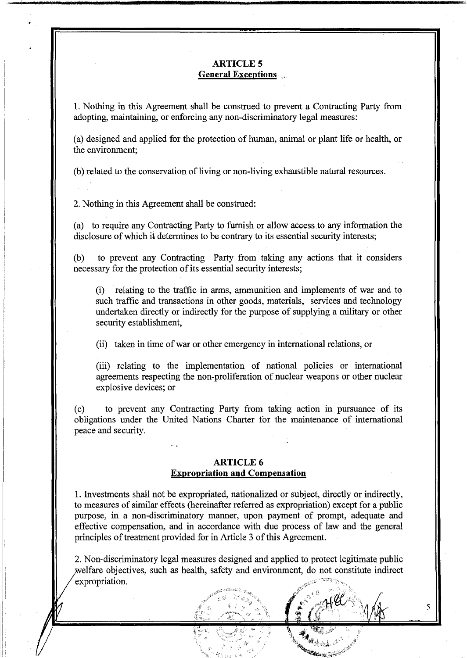## **ARTICLES General Exceptions** , ,

1. Nothing in this Agreement shall be construed to prevent a Contracting Party from adopting, maintaining, or enforcing any non-discriminatory legal measures:

(a) designed and applied for the protection of human, animal or plant life or health, or the environment;

(b) related to the conservation of living or non-living exhaustible natural resources.

2. Nothing in this Agreement shall be construed:

(a) to require any Contracting Party to furnish or allow access to any information the disclosure of which it determines to be contrary to its essential security interests;

(b) to prevent any Contracting Party from taking any actions that it considers necessary for the protection of its essential security interests;

(i) relating to the traffic in arms, ammunition and implements of war and to such traffic and transactions in other goods, materials, services and technology undertaken directly or indirectly for the purpose of supplying a military or other security establishment,

(ii) taken in time of war or other emergency in international relations, or

(iii) relating to the implementation of national policies or international agreements respecting the non-proliferation of nuclear weapons or other nuclear explosive devices; or

(c) to prevent any Contracting Party from taking action in pursuance of its obligations under the United Nations Charter for the maintenance of international peace and security.

#### **ARTICLE6 Expropriation and Compensation**

1. Investments shall not be expropriated, nationalized or subject, directly or indirectly, to measures of similar effects (hereinafter referred as expropriation) except for a public purpose, in a non-discriminatory manner, upon payment of prompt, adequate and effective compensation, and in accordance with due process of law and the general principles of treatment provided for in Article 3 of this Agreement.

2. Non-discriminatory legal measures designed and applied to protect legitimate public welfare objectives, such as health, safety and environment, do not constitute indirect  $expropiration.$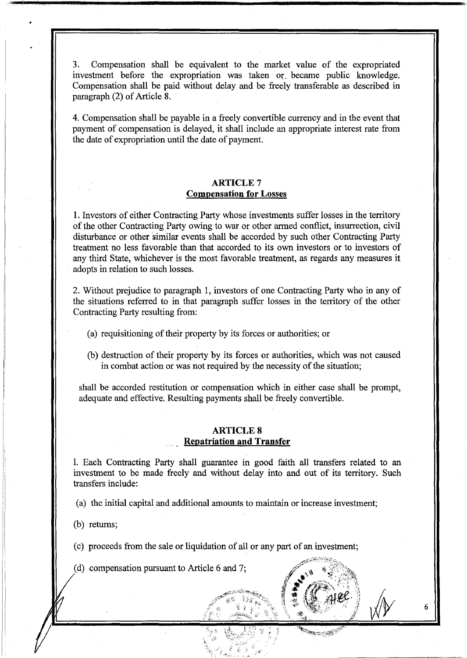3. Compensation shall be equivalent to the market value of the expropriated investment before the expropriation was taken or became public knowledge. Compensation shall be paid without delay and be freely transferable as described in paragraph (2) of Article 8.

4. Compensation shall be payable in a freely convertible currency and in the event that payment of compensation is delayed, it shall include an appropriate interest rate from the date of expropriation until the date of payment.

### **ARTICLE7 Compensation for** Losses

1. Investors of either Contracting Party whose investments suffer losses in the territory of the other Contracting Party owing to war or other armed conflict, insurrection, civil disturbance or other similar events shall be accorded by such other Contracting Party treatment no less favorable than that accorded to its own investors or to investors of any third State, whichever is the most favorable treatment, as regards any measures it adopts in relation to such losses.

2. Without prejudice to paragraph 1, investors of one Contracting Party who in any of the situations referred to in that paragraph suffer losses in the territory of the other Contracting Party resulting from:

- (a) requisitioning of their property by its forces or authorities; or
- (b) destruction of their property by its forces or authorities, which was not caused in combat action or was not required by the necessity of the situation;

shall be accorded restitution or compensation which in either case shall be prompt, adequate and effective. Resulting payments shall be freely convertible.

### **ARTICLES Repatriation and Transfer**

l. Each Contracting Party shall guarantee in good faith all transfers related to an investment to be made freely and without delay into and out of its territory. Such transfers include:

6

(a) the initial capital and additional amounts to maintain or increase investment;

(b) returns;

(c) proceeds from the sale or liquidation of all or any part of an investment;

(d) compensation pursuant to Article 6 and 7;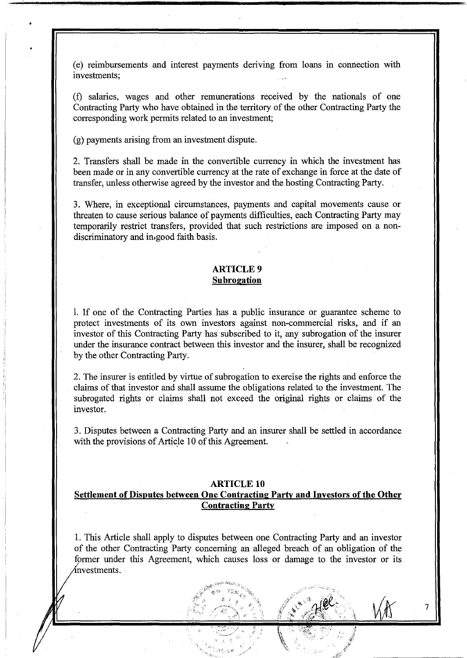(e) reimbursements and interest payments deriving from loans in connection with investments;

(f) salaries, wages and other remunerations received by the nationals of one Contracting Party who have obtained in the territory of the other Contracting Party the corresponding work permits related to an investment;

(g) payments arising from an investment dispute.

2. Transfers shall be made in the convertible currency in which the investment has been made or in any convertible currency at the rate of exchange in force at the date of transfer, unless otherwise agreed by the investor and the hosting Contracting Party.

3. Where, in exceptional circumstances, payments and capital movements cause or threaten to cause serious balance of payments difficulties, each Contracting Party may temporarily restrict transfers, provided that such restrictions are imposed on a nondiscriminatory and in.good faith basis.

#### **ARTICLE9 Subrogation**

l. If one of the Contracting Parties has a public insurance or guarantee scheme to protect investments of its own investors against non-commercial risks, and if an investor of this Contracting Party has subscribed to it, any subrogation of the insurer under the insurance contract between this investor and the insurer, shall be recognized by the other Contracting Party.

2. The insurer is entitled by virtue of subrogation to exercise the rights and enforce the claims of that investor and shall assume the obligations related to the investment. The subrogated rights or claims shall not exceed the original rights or claims of the investor.

3. Disputes between a Contracting Party and an insurer shall be settled in accordance with the provisions of Article 10 of this Agreement.

#### **ARTICLE 10**

# **Settlement of Disputes between One Contracting Party and Investors of the Other Contracting Party**

1. This Article shall apply to disputes between one Contracting Party and an investor of the other Contracting Party concerning an alleged breach of an obligation of the former under this Agreement, which causes loss or damage to the investor or its nvestments.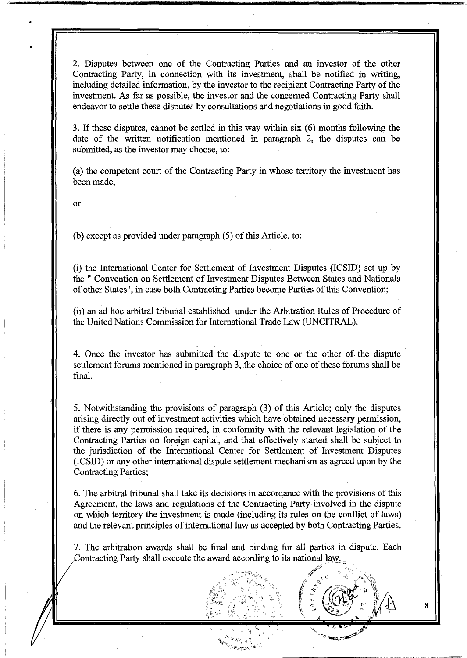2. Disputes between one of the Contracting Parties and an investor of the other Contracting Party, in connection with its investment, shall be notified in writing, including detailed information, by the investor to the recipient Contracting Party of the investment. As far as possible, the investor and the concerned Contracting Party shall endeavor to settle these disputes by consultations and negotiations in good faith.

3. If these disputes, cannot be settled in this way within six (6) months following the date of the written notification mentioned in paragraph 2, the disputes can be submitted, as the investor may choose, to:

(a) the competent court of the Contracting Party in whose territory the investment has been made,

or

(b) except as provided under paragraph (5) of this Article, to:

(i) the International Center for Settlement of Investment Disputes (ICSID) set up by the " Convention on Settlement of Investment Disputes Between States and Nationals of other States", in case both Contracting Parties become Parties of this Convention;

(ii).an ad hoc arbitral tribunal established under the Arbitration Rules of Procedure of the United Nations Commission for International Trade Law (UNCITRAL).

4. Once the investor has submitted the dispute to one or the other of the dispute settlement forums mentioned in paragraph 3, the choice of one of these forums shall be final.

5. Notwithstanding the provisions of paragraph (3) of this Article; only the disputes arising directly out of investment activities which have obtained necessary permission, if there is any permission required, in conformity with the relevant legislation of the Contracting Parties on foreign capital, and that effectively started shall be subject to the jurisdiction of the International Center for Settlement of Investment Disputes (ICSID) or any other international dispute settlement mechanism as agreed upon by the Contracting Parties;

6. The arbitral tribunal shall take its decisions in accordance with the provisions of this Agreement, the laws and regulations of the Contracting Party involved in the dispute on which territory the investment is made (including its rules on the conflict of laws) and the relevant principles of international law as accepted by both Contracting Parties.

7. The arbitration awards shall be final and binding for all parties in dispute. Each Contracting Party shall execute the award according to its national law.



:;~·- ,!)''

 $i' \cdot j' \cdot j \cdot j' \cdot j' \cdot k'$ 

 $\sim$  .  $\sim$   $\sim$   $\sim$   $\sim$ 

 $\int$  :  $\int$   $\left(\frac{d\mathbf{v}}{d\mathbf{v}}\right)^{n}$   $\int$ 

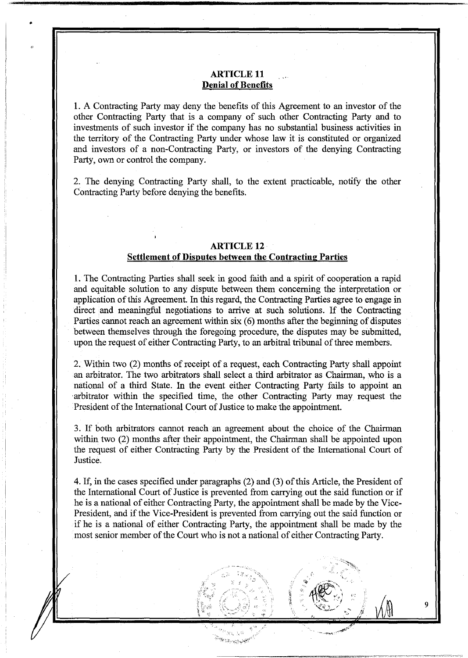# **ARTICLE 11 Denial of Benefits**

•

1. A Contracting Party may deny the benefits of this Agreement to an investor of the other Contracting Party that is a company of such other Contracting Party and to investments of such investor if the company has no substantial business activities in the territory of the Contracting Party under whose law it is constituted or organized and investors of a non-Contracting Party, or investors of the denying Contracting Party, own or control the company.

2. The denying Contracting Party shall, to the extent practicable, notify the other Contracting Party before denying the benefits.

### **ARTICLE 12 Settlement of Disputes between the Contracting Parties**

1. The Contracting Parties shall seek in good faith and a spirit of cooperation a rapid and equitable solution to any dispute between them concerning the interpretation or application of this Agreement. In this regard, the Contracting Parties agree to engage in direct and meaningful negotiations to arrive at such solutions. If the Contracting Parties cannot reach an agreement within six (6) months after the beginning of disputes between themselves through the foregoing procedure, the disputes may be submitted, upon the request of either Contracting Party, to an arbitral tribunal of three members.

2. Within two (2) months of receipt of a request, each Contracting Party shall appoint an arbitrator. The two arbitrators shall select a third arbitrator as Chairman, who is a national of a third State. In the event either Contracting Party fails to appoint an arbitrator within the specified time, the other Contracting Party may request the President of the International Court of Justice to make the appointment.

3. If both arbitrators cannot reach an agreement about the choice of the Chairman within two (2) months after their appointment, the Chairman shall be appointed upon the request of either Contracting Party by the President of the International Court of Justice.

4. If, in the cases specified under paragraphs (2) and (3) of this Article, the President of the International Court of Justice is prevented from carrying out the said function or if he is a national of either Contracting Party, the appointment shall be made by the Vice-President, and if the Vice-President is prevented from carrying out the said function or if he is a national of either Contracting Party, the appointment shall be made by the most senior member of the Court who is not a national of either Contracting Party.

<sup>Ba</sup>langgu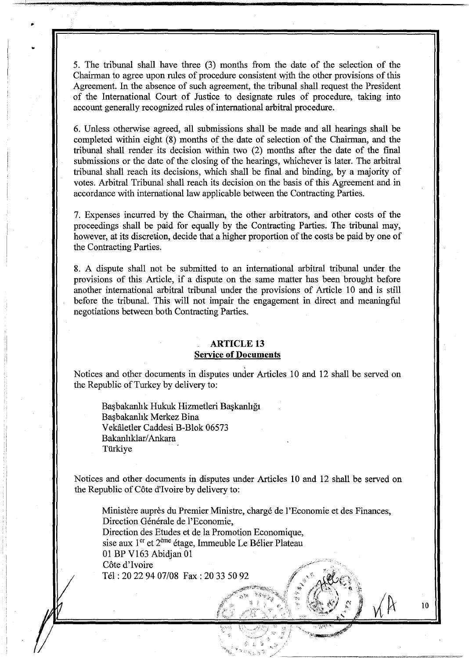5. The tribunal shall have three (3) months from the date of the selection of the Chairman to agree upon rules of procedure consistent with the other provisions of this Agreement. In the absence of such agreement, the tribunal shall request the President of the International Court of Justice to designate rules of procedure, taking into account generally recognized rules of international arbitral procedure.

6. Unless otherwise agreed, all submissions shall be made and all hearings shall be completed within eight (8) months of the date of selection of the Chairman, and the tribunal shall render its decision within two (2) months after the date of the final submissions or the date of the closing of the hearings, whichever is later. The arbitral tribunal shall reach its decisions, which shall be final and binding, by a majority of votes. Arbitral Tribunal shall reach its decision on the basis of this Agreement and in accordance with international law applicable between the Contracting Parties.

7. Expenses incurred by the Chairman, the other arbitrators, and other costs of the proceedings shall be paid for equally by the Contracting Parties. The tribunal may, however, at its discretion, decide that a higher proportion of the costs be paid by one of the Contracting Parties.

8. A dispute shall not be submitted to an international arbitral tribunal under the provisions of this Article, if a dispute on the same matter has been brought before another international arbitral tribunal under the provisions of Article 10 and is still before the tribunal. This will not impair the engagement in direct and meaningful negotiations between both Contracting Parties.

## **ARTICLE 13 Service of Documents**

Notices and other documents in disputes under Articles 10 and 12 shall be served on the Republic of Turkey by delivery *to:* 

Başbakanlık Hukuk Hizmetleri Başkanlığı Basbakanlık Merkez Bina Vekaletler Caddesi B-Blok 06573 Bakanhklar/ Ankara Türkiye

Notices and other documents in disputes under Articles 10 and 12 shall be served on the Republic of Cote d'Ivoire by delivery *to:* 

Ministère auprès du Premier Ministre, chargé de l'Economie et des Finances, Direction Générale de l'Economie, Direction des Etudes et de la Promotion Economique, sise aux 1<sup>er</sup> et 2<sup>ème</sup> étage, Immeuble Le Bélier Plateau 01 BP V163 Abidjan 01 Côte d'Ivoire Tel: 20 22 94 07/08 Fax: 20 33 50 92